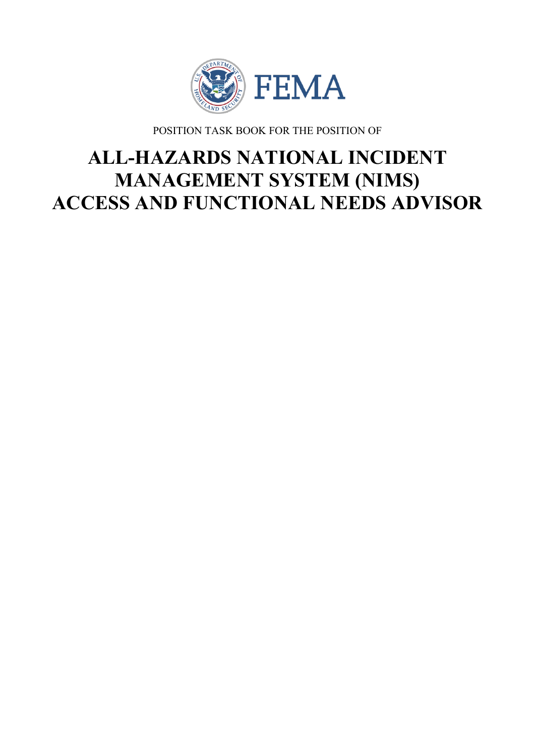

POSITION TASK BOOK FOR THE POSITION OF

# **ALL-HAZARDS NATIONAL INCIDENT MANAGEMENT SYSTEM (NIMS) ACCESS AND FUNCTIONAL NEEDS ADVISOR**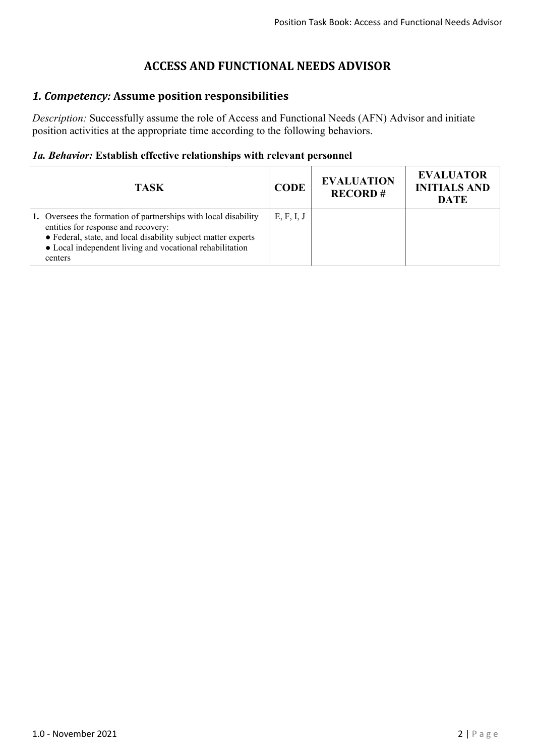# **ACCESS AND FUNCTIONAL NEEDS ADVISOR**

# *1. Competency:* **Assume position responsibilities**

*Description:* Successfully assume the role of Access and Functional Needs (AFN) Advisor and initiate position activities at the appropriate time according to the following behaviors.

## *1a. Behavior:* **Establish effective relationships with relevant personnel**

| <b>TASK</b>                                                                                                                                                                                                                                    | <b>CODE</b> | <b>EVALUATION</b><br><b>RECORD#</b> | <b>EVALUATOR</b><br><b>INITIALS AND</b><br>DATE |
|------------------------------------------------------------------------------------------------------------------------------------------------------------------------------------------------------------------------------------------------|-------------|-------------------------------------|-------------------------------------------------|
| 1. Oversees the formation of partnerships with local disability<br>entities for response and recovery:<br>• Federal, state, and local disability subject matter experts<br>• Local independent living and vocational rehabilitation<br>centers | E, F, I, J  |                                     |                                                 |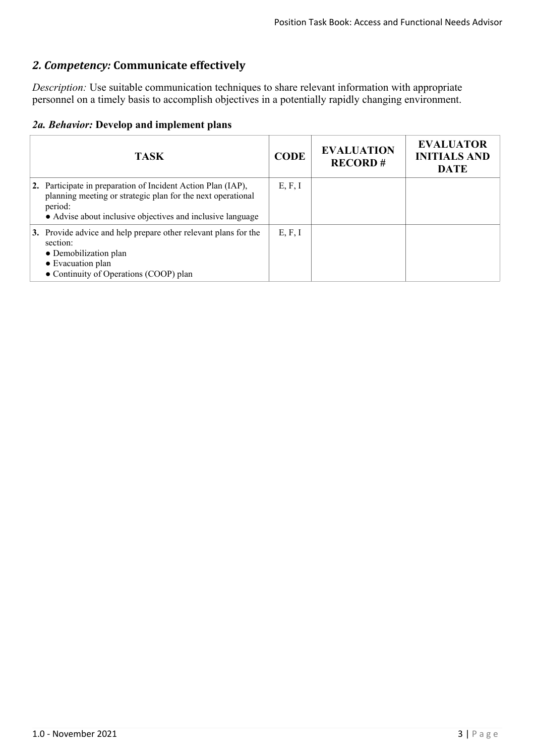# *2. Competency:* **Communicate effectively**

*Description:* Use suitable communication techniques to share relevant information with appropriate personnel on a timely basis to accomplish objectives in a potentially rapidly changing environment.

|  | 2a. Behavior: Develop and implement plans |  |  |  |
|--|-------------------------------------------|--|--|--|
|--|-------------------------------------------|--|--|--|

| <b>TASK</b>                                                                                                                                                                                          | <b>CODE</b> | <b>EVALUATION</b><br><b>RECORD#</b> | <b>EVALUATOR</b><br><b>INITIALS AND</b><br><b>DATE</b> |
|------------------------------------------------------------------------------------------------------------------------------------------------------------------------------------------------------|-------------|-------------------------------------|--------------------------------------------------------|
| 2. Participate in preparation of Incident Action Plan (IAP),<br>planning meeting or strategic plan for the next operational<br>period:<br>• Advise about inclusive objectives and inclusive language | E, F, I     |                                     |                                                        |
| 3. Provide advice and help prepare other relevant plans for the<br>section:<br>• Demobilization plan<br>• Evacuation plan<br>• Continuity of Operations (COOP) plan                                  | E, F, I     |                                     |                                                        |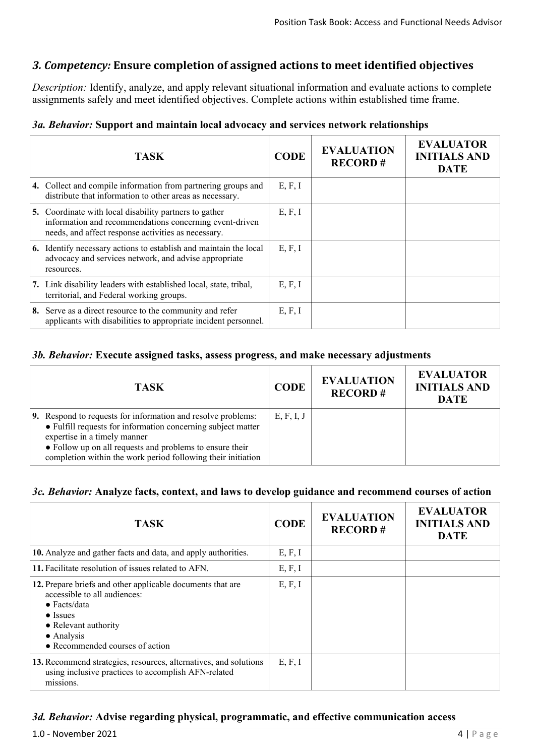## *3. Competency:* **Ensure completion of assigned actions to meet identified objectives**

*Description:* Identify, analyze, and apply relevant situational information and evaluate actions to complete assignments safely and meet identified objectives. Complete actions within established time frame.

#### *3a. Behavior:* **Support and maintain local advocacy and services network relationships**

| <b>TASK</b>                                                                                                                                                              | <b>CODE</b> | <b>EVALUATION</b><br><b>RECORD#</b> | <b>EVALUATOR</b><br><b>INITIALS AND</b><br><b>DATE</b> |
|--------------------------------------------------------------------------------------------------------------------------------------------------------------------------|-------------|-------------------------------------|--------------------------------------------------------|
| 4. Collect and compile information from partnering groups and<br>distribute that information to other areas as necessary.                                                | E, F, I     |                                     |                                                        |
| 5. Coordinate with local disability partners to gather<br>information and recommendations concerning event-driven<br>needs, and affect response activities as necessary. | E, F, I     |                                     |                                                        |
| <b>6.</b> Identify necessary actions to establish and maintain the local<br>advocacy and services network, and advise appropriate<br>resources.                          | E, F, I     |                                     |                                                        |
| 7. Link disability leaders with established local, state, tribal,<br>territorial, and Federal working groups.                                                            | E, F, I     |                                     |                                                        |
| 8. Serve as a direct resource to the community and refer<br>applicants with disabilities to appropriate incident personnel.                                              | E, F, I     |                                     |                                                        |

#### *3b. Behavior:* **Execute assigned tasks, assess progress, and make necessary adjustments**

| <b>TASK</b>                                                                                                                                                                                                                                                                              | <b>CODE</b> | <b>EVALUATION</b><br><b>RECORD#</b> | <b>EVALUATOR</b><br><b>INITIALS AND</b><br><b>DATE</b> |
|------------------------------------------------------------------------------------------------------------------------------------------------------------------------------------------------------------------------------------------------------------------------------------------|-------------|-------------------------------------|--------------------------------------------------------|
| 9. Respond to requests for information and resolve problems:<br>• Fulfill requests for information concerning subject matter<br>expertise in a timely manner<br>• Follow up on all requests and problems to ensure their<br>completion within the work period following their initiation | E, F, I, J  |                                     |                                                        |

#### *3c. Behavior:* **Analyze facts, context, and laws to develop guidance and recommend courses of action**

| <b>TASK</b>                                                                                                                                                                                                     | <b>CODE</b> | <b>EVALUATION</b><br><b>RECORD#</b> | <b>EVALUATOR</b><br><b>INITIALS AND</b><br><b>DATE</b> |
|-----------------------------------------------------------------------------------------------------------------------------------------------------------------------------------------------------------------|-------------|-------------------------------------|--------------------------------------------------------|
| 10. Analyze and gather facts and data, and apply authorities.                                                                                                                                                   | E, F, I     |                                     |                                                        |
| 11. Facilitate resolution of issues related to AFN.                                                                                                                                                             | E, F, I     |                                     |                                                        |
| 12. Prepare briefs and other applicable documents that are<br>accessible to all audiences:<br>$\bullet$ Facts/data<br>$\bullet$ Issues<br>• Relevant authority<br>• Analysis<br>• Recommended courses of action | E, F, I     |                                     |                                                        |
| 13. Recommend strategies, resources, alternatives, and solutions<br>using inclusive practices to accomplish AFN-related<br>missions.                                                                            | E, F, I     |                                     |                                                        |

#### *3d. Behavior:* **Advise regarding physical, programmatic, and effective communication access**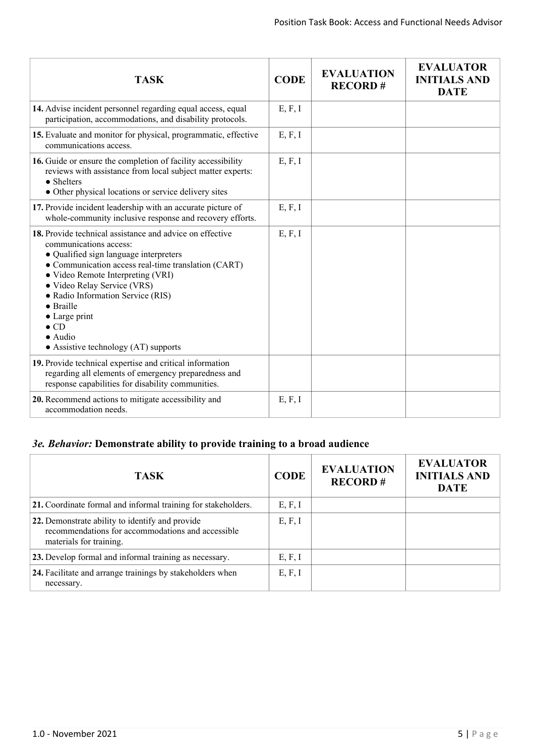| <b>TASK</b>                                                                                                                                                                                                                                                                                                                                                                                                     | <b>CODE</b> | <b>EVALUATION</b><br><b>RECORD#</b> | <b>EVALUATOR</b><br><b>INITIALS AND</b><br><b>DATE</b> |
|-----------------------------------------------------------------------------------------------------------------------------------------------------------------------------------------------------------------------------------------------------------------------------------------------------------------------------------------------------------------------------------------------------------------|-------------|-------------------------------------|--------------------------------------------------------|
| 14. Advise incident personnel regarding equal access, equal<br>participation, accommodations, and disability protocols.                                                                                                                                                                                                                                                                                         | E, F, I     |                                     |                                                        |
| 15. Evaluate and monitor for physical, programmatic, effective<br>communications access.                                                                                                                                                                                                                                                                                                                        | E, F, I     |                                     |                                                        |
| 16. Guide or ensure the completion of facility accessibility<br>reviews with assistance from local subject matter experts:<br>$\bullet$ Shelters<br>• Other physical locations or service delivery sites                                                                                                                                                                                                        | E, F, I     |                                     |                                                        |
| 17. Provide incident leadership with an accurate picture of<br>whole-community inclusive response and recovery efforts.                                                                                                                                                                                                                                                                                         | E, F, I     |                                     |                                                        |
| 18. Provide technical assistance and advice on effective<br>communications access:<br>• Qualified sign language interpreters<br>• Communication access real-time translation (CART)<br>• Video Remote Interpreting (VRI)<br>• Video Relay Service (VRS)<br>• Radio Information Service (RIS)<br>• Braille<br>$\bullet$ Large print<br>$\bullet$ CD<br>$\bullet$ Audio<br>• Assistive technology $(AT)$ supports | E, F, I     |                                     |                                                        |
| 19. Provide technical expertise and critical information<br>regarding all elements of emergency preparedness and<br>response capabilities for disability communities.                                                                                                                                                                                                                                           |             |                                     |                                                        |
| 20. Recommend actions to mitigate accessibility and<br>accommodation needs.                                                                                                                                                                                                                                                                                                                                     | E, F, I     |                                     |                                                        |

# *3e. Behavior:* **Demonstrate ability to provide training to a broad audience**

| <b>TASK</b>                                                                                                                     | <b>CODE</b> | <b>EVALUATION</b><br><b>RECORD#</b> | <b>EVALUATOR</b><br><b>INITIALS AND</b><br><b>DATE</b> |
|---------------------------------------------------------------------------------------------------------------------------------|-------------|-------------------------------------|--------------------------------------------------------|
| 21. Coordinate formal and informal training for stakeholders.                                                                   | E, F, I     |                                     |                                                        |
| 22. Demonstrate ability to identify and provide<br>recommendations for accommodations and accessible<br>materials for training. | E, F, I     |                                     |                                                        |
| 23. Develop formal and informal training as necessary.                                                                          | E, F, I     |                                     |                                                        |
| 24. Facilitate and arrange trainings by stakeholders when<br>necessary.                                                         | E, F, I     |                                     |                                                        |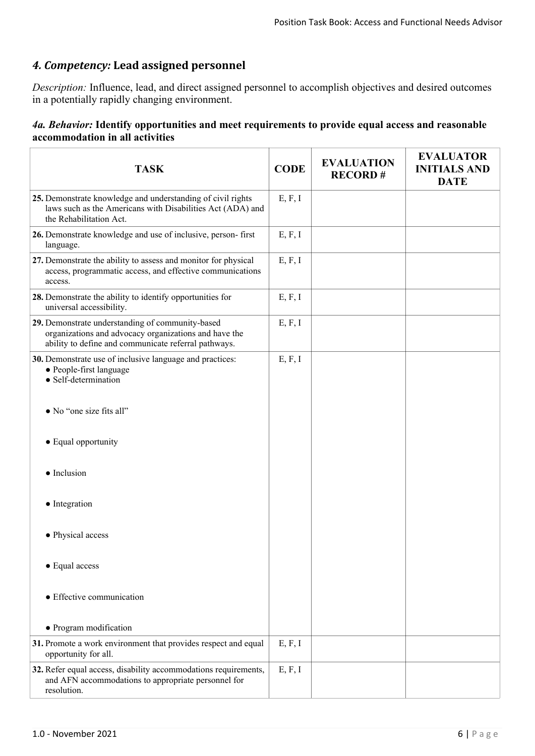# *4. Competency:* **Lead assigned personnel**

*Description:* Influence, lead, and direct assigned personnel to accomplish objectives and desired outcomes in a potentially rapidly changing environment.

#### *4a. Behavior:* **Identify opportunities and meet requirements to provide equal access and reasonable accommodation in all activities**

| <b>TASK</b>                                                                                                                                                       | <b>CODE</b> | <b>EVALUATION</b><br><b>RECORD#</b> | <b>EVALUATOR</b><br><b>INITIALS AND</b><br><b>DATE</b> |
|-------------------------------------------------------------------------------------------------------------------------------------------------------------------|-------------|-------------------------------------|--------------------------------------------------------|
| 25. Demonstrate knowledge and understanding of civil rights<br>laws such as the Americans with Disabilities Act (ADA) and<br>the Rehabilitation Act.              | E, F, I     |                                     |                                                        |
| 26. Demonstrate knowledge and use of inclusive, person-first<br>language.                                                                                         | E, F, I     |                                     |                                                        |
| 27. Demonstrate the ability to assess and monitor for physical<br>access, programmatic access, and effective communications<br>access.                            | E, F, I     |                                     |                                                        |
| 28. Demonstrate the ability to identify opportunities for<br>universal accessibility.                                                                             | E, F, I     |                                     |                                                        |
| 29. Demonstrate understanding of community-based<br>organizations and advocacy organizations and have the<br>ability to define and communicate referral pathways. | E, F, I     |                                     |                                                        |
| 30. Demonstrate use of inclusive language and practices:<br>• People-first language<br>• Self-determination                                                       | E, F, I     |                                     |                                                        |
| • No "one size fits all"                                                                                                                                          |             |                                     |                                                        |
| • Equal opportunity                                                                                                                                               |             |                                     |                                                        |
| • Inclusion                                                                                                                                                       |             |                                     |                                                        |
| • Integration                                                                                                                                                     |             |                                     |                                                        |
| • Physical access                                                                                                                                                 |             |                                     |                                                        |
| • Equal access                                                                                                                                                    |             |                                     |                                                        |
| • Effective communication                                                                                                                                         |             |                                     |                                                        |
| • Program modification                                                                                                                                            |             |                                     |                                                        |
| 31. Promote a work environment that provides respect and equal<br>opportunity for all.                                                                            | E, F, I     |                                     |                                                        |
| 32. Refer equal access, disability accommodations requirements,<br>and AFN accommodations to appropriate personnel for<br>resolution.                             | E, F, I     |                                     |                                                        |